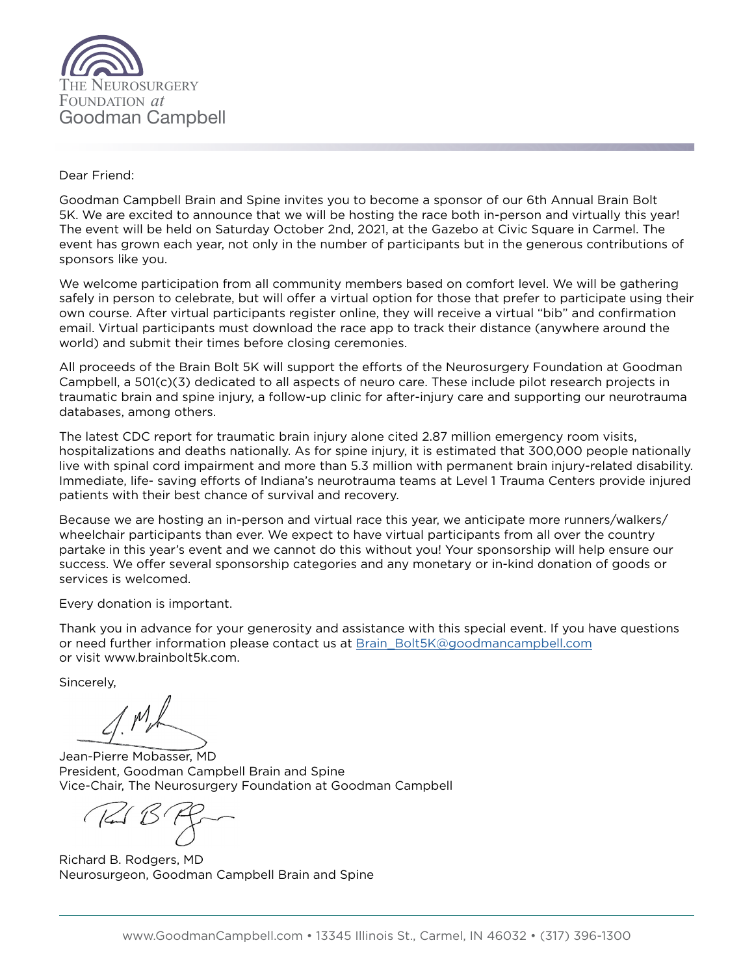

## Dear Friend:

Goodman Campbell Brain and Spine invites you to become a sponsor of our 6th Annual Brain Bolt 5K. We are excited to announce that we will be hosting the race both in-person and virtually this year! The event will be held on Saturday October 2nd, 2021, at the Gazebo at Civic Square in Carmel. The event has grown each year, not only in the number of participants but in the generous contributions of sponsors like you.

We welcome participation from all community members based on comfort level. We will be gathering safely in person to celebrate, but will offer a virtual option for those that prefer to participate using their own course. After virtual participants register online, they will receive a virtual "bib" and confirmation email. Virtual participants must download the race app to track their distance (anywhere around the world) and submit their times before closing ceremonies.

All proceeds of the Brain Bolt 5K will support the efforts of the Neurosurgery Foundation at Goodman Campbell, a 501(c)(3) dedicated to all aspects of neuro care. These include pilot research projects in traumatic brain and spine injury, a follow-up clinic for after-injury care and supporting our neurotrauma databases, among others.

The latest CDC report for traumatic brain injury alone cited 2.87 million emergency room visits, hospitalizations and deaths nationally. As for spine injury, it is estimated that 300,000 people nationally live with spinal cord impairment and more than 5.3 million with permanent brain injury-related disability. Immediate, life- saving efforts of Indiana's neurotrauma teams at Level 1 Trauma Centers provide injured patients with their best chance of survival and recovery.

Because we are hosting an in-person and virtual race this year, we anticipate more runners/walkers/ wheelchair participants than ever. We expect to have virtual participants from all over the country partake in this year's event and we cannot do this without you! Your sponsorship will help ensure our success. We offer several sponsorship categories and any monetary or in-kind donation of goods or services is welcomed.

Every donation is important.

Thank you in advance for your generosity and assistance with this special event. If you have questions or need further information please contact us at [Brain\\_Bolt5K@goodmancampbell.com](mailto:Brain_Bolt5K%40goodmancampbell.com?subject=) or visit www.brainbolt5k.com.

Sincerely,

Jean-Pierre Mobasser, MD President, Goodman Campbell Brain and Spine Vice-Chair, The Neurosurgery Foundation at Goodman Campbell

Richard B. Rodgers, MD Neurosurgeon, Goodman Campbell Brain and Spine